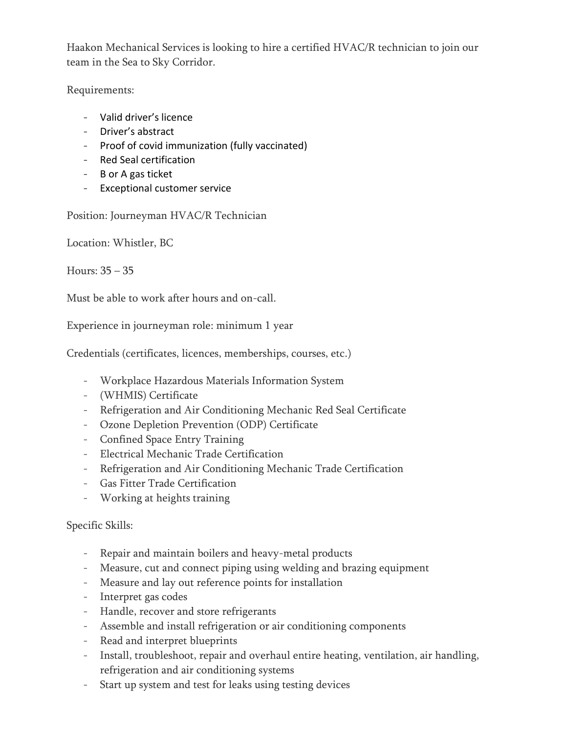Haakon Mechanical Services is looking to hire a certified HVAC/R technician to join our team in the Sea to Sky Corridor.

Requirements:

- Valid driver's licence
- Driver's abstract
- Proof of covid immunization (fully vaccinated)
- Red Seal certification
- B or A gas ticket
- Exceptional customer service

Position: Journeyman HVAC/R Technician

Location: Whistler, BC

Hours: 35 – 35

Must be able to work after hours and on-call.

Experience in journeyman role: minimum 1 year

Credentials (certificates, licences, memberships, courses, etc.)

- Workplace Hazardous Materials Information System
- (WHMIS) Certificate
- Refrigeration and Air Conditioning Mechanic Red Seal Certificate
- Ozone Depletion Prevention (ODP) Certificate
- Confined Space Entry Training
- Electrical Mechanic Trade Certification
- Refrigeration and Air Conditioning Mechanic Trade Certification
- Gas Fitter Trade Certification
- Working at heights training

## Specific Skills:

- Repair and maintain boilers and heavy-metal products
- Measure, cut and connect piping using welding and brazing equipment
- Measure and lay out reference points for installation
- Interpret gas codes
- Handle, recover and store refrigerants
- Assemble and install refrigeration or air conditioning components
- Read and interpret blueprints
- Install, troubleshoot, repair and overhaul entire heating, ventilation, air handling, refrigeration and air conditioning systems
- Start up system and test for leaks using testing devices